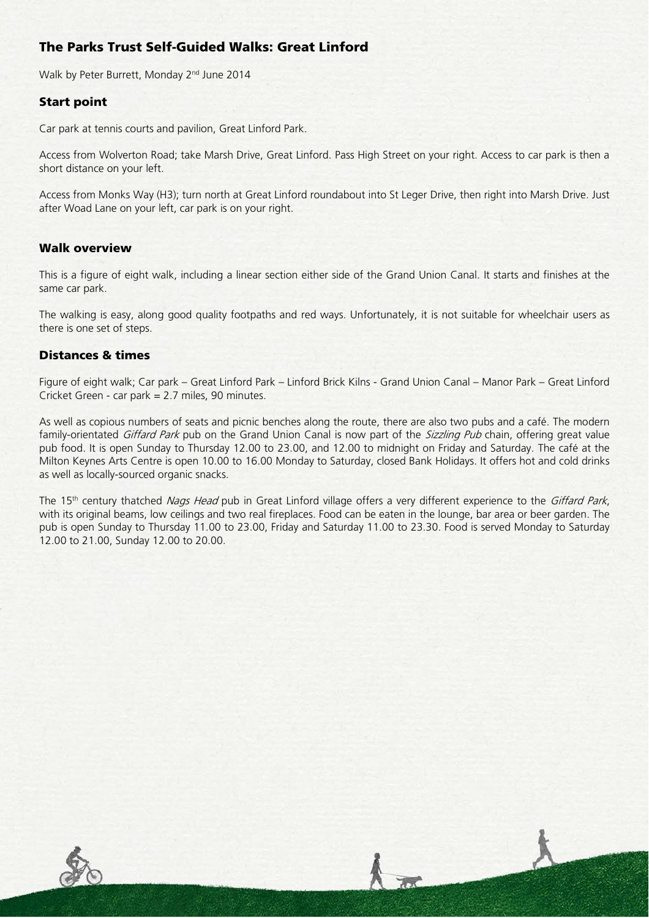# The Parks Trust Self-Guided Walks: Great Linford

Walk by Peter Burrett, Monday 2<sup>nd</sup> June 2014

### Start point

Car park at tennis courts and pavilion, Great Linford Park.

Access from Wolverton Road; take Marsh Drive, Great Linford. Pass High Street on your right. Access to car park is then a short distance on your left.

Access from Monks Way (H3); turn north at Great Linford roundabout into St Leger Drive, then right into Marsh Drive. Just after Woad Lane on your left, car park is on your right.

#### Walk overview

This is a figure of eight walk, including a linear section either side of the Grand Union Canal. It starts and finishes at the same car park.

The walking is easy, along good quality footpaths and red ways. Unfortunately, it is not suitable for wheelchair users as there is one set of steps.

## Distances & times

Figure of eight walk; Car park – Great Linford Park – Linford Brick Kilns - Grand Union Canal – Manor Park – Great Linford Cricket Green - car park = 2.7 miles, 90 minutes.

As well as copious numbers of seats and picnic benches along the route, there are also two pubs and a café. The modern family-orientated Giffard Park pub on the Grand Union Canal is now part of the Sizzling Pub chain, offering great value pub food. It is open Sunday to Thursday 12.00 to 23.00, and 12.00 to midnight on Friday and Saturday. The café at the Milton Keynes Arts Centre is open 10.00 to 16.00 Monday to Saturday, closed Bank Holidays. It offers hot and cold drinks as well as locally-sourced organic snacks.

The 15<sup>th</sup> century thatched Nags Head pub in Great Linford village offers a very different experience to the Giffard Park, with its original beams, low ceilings and two real fireplaces. Food can be eaten in the lounge, bar area or beer garden. The pub is open Sunday to Thursday 11.00 to 23.00, Friday and Saturday 11.00 to 23.30. Food is served Monday to Saturday 12.00 to 21.00, Sunday 12.00 to 20.00.

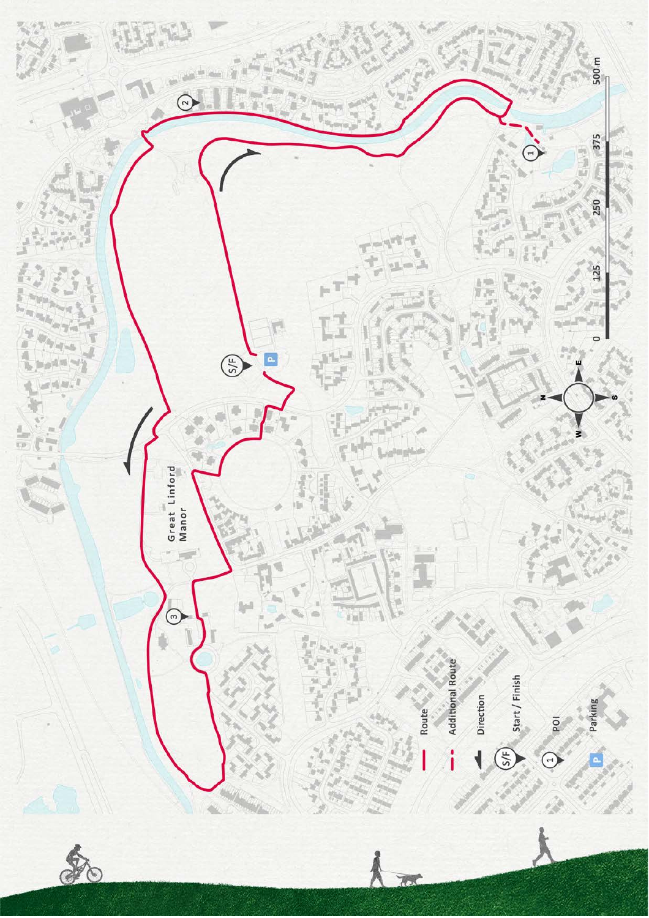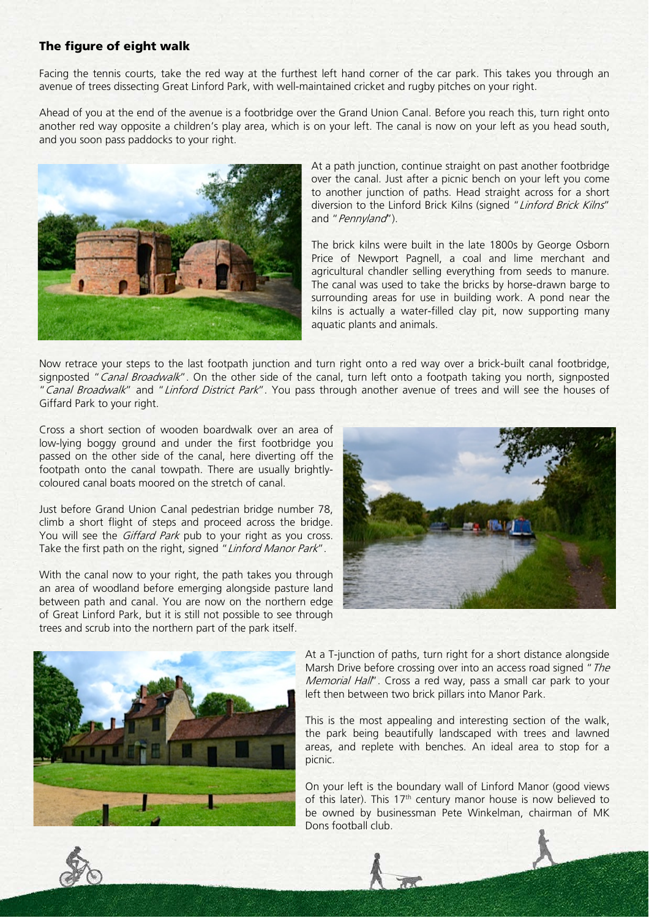#### The figure of eight walk

Facing the tennis courts, take the red way at the furthest left hand corner of the car park. This takes you through an avenue of trees dissecting Great Linford Park, with well-maintained cricket and rugby pitches on your right.

Ahead of you at the end of the avenue is a footbridge over the Grand Union Canal. Before you reach this, turn right onto another red way opposite a children's play area, which is on your left. The canal is now on your left as you head south, and you soon pass paddocks to your right.



At a path junction, continue straight on past another footbridge over the canal. Just after a picnic bench on your left you come to another junction of paths. Head straight across for a short diversion to the Linford Brick Kilns (signed "Linford Brick Kilns" and "Pennyland").

The brick kilns were built in the late 1800s by George Osborn Price of Newport Pagnell, a coal and lime merchant and agricultural chandler selling everything from seeds to manure. The canal was used to take the bricks by horse-drawn barge to surrounding areas for use in building work. A pond near the kilns is actually a water-filled clay pit, now supporting many aquatic plants and animals.

Now retrace your steps to the last footpath junction and turn right onto a red way over a brick-built canal footbridge, signposted "Canal Broadwalk". On the other side of the canal, turn left onto a footpath taking you north, signposted "Canal Broadwalk" and "Linford District Park". You pass through another avenue of trees and will see the houses of Giffard Park to your right.

Cross a short section of wooden boardwalk over an area of low-lying boggy ground and under the first footbridge you passed on the other side of the canal, here diverting off the footpath onto the canal towpath. There are usually brightlycoloured canal boats moored on the stretch of canal.

Just before Grand Union Canal pedestrian bridge number 78, climb a short flight of steps and proceed across the bridge. You will see the *Giffard Park* pub to your right as you cross. Take the first path on the right, signed "Linford Manor Park".

With the canal now to your right, the path takes you through an area of woodland before emerging alongside pasture land between path and canal. You are now on the northern edge of Great Linford Park, but it is still not possible to see through trees and scrub into the northern part of the park itself.





At a T-junction of paths, turn right for a short distance alongside Marsh Drive before crossing over into an access road signed "The Memorial Hall". Cross a red way, pass a small car park to your left then between two brick pillars into Manor Park.

This is the most appealing and interesting section of the walk, the park being beautifully landscaped with trees and lawned areas, and replete with benches. An ideal area to stop for a picnic.

On your left is the boundary wall of Linford Manor (good views of this later). This  $17<sup>th</sup>$  century manor house is now believed to be owned by businessman Pete Winkelman, chairman of MK Dons football club.